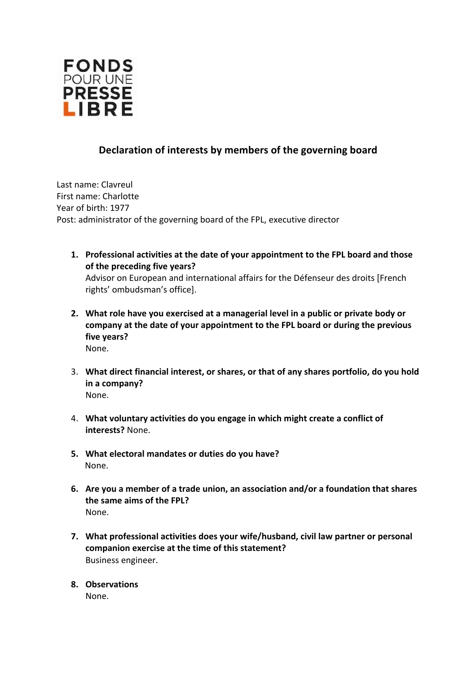

## **Declaration of interests by members of the governing board**

Last name: Clavreul First name: Charlotte Year of birth: 1977 Post: administrator of the governing board of the FPL, executive director

- **1. Professional activities at the date of your appointment to the FPL board and those of the preceding five years?**  Advisor on European and international affairs for the Défenseur des droits [French rights' ombudsman's office].
- **2. What role have you exercised at a managerial level in a public or private body or company at the date of your appointment to the FPL board or during the previous five years?**  None.
- 3. **What direct financial interest, or shares, or that of any shares portfolio, do you hold in a company?** None.
- 4. **What voluntary activities do you engage in which might create a conflict of interests?** None.
- **5. What electoral mandates or duties do you have?**  None.
- **6. Are you a member of a trade union, an association and/or a foundation that shares the same aims of the FPL?**  None.
- **7. What professional activities does your wife/husband, civil law partner or personal companion exercise at the time of this statement?**  Business engineer.
- **8. Observations**

None.